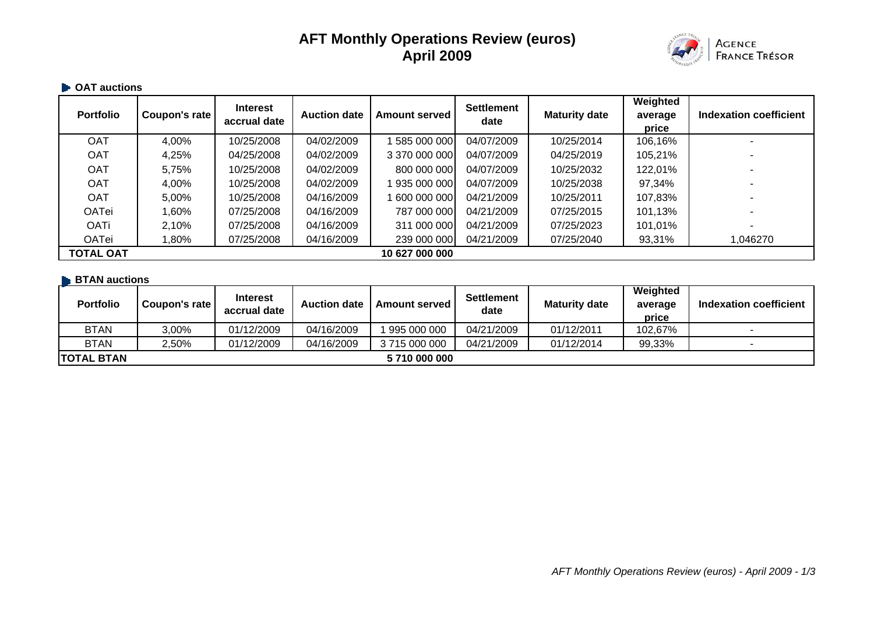# **AFT Monthly Operations Review (euros) April 2009**



#### **OAT auctions**

| <b>Portfolio</b> | Coupon's rate | <b>Interest</b><br>accrual date | <b>Auction date</b> | <b>Amount served</b> | <b>Settlement</b><br>date | <b>Maturity date</b> | Weighted<br>average<br>price | Indexation coefficient |
|------------------|---------------|---------------------------------|---------------------|----------------------|---------------------------|----------------------|------------------------------|------------------------|
| <b>OAT</b>       | 4,00%         | 10/25/2008                      | 04/02/2009          | 585 000 000          | 04/07/2009                | 10/25/2014           | 106,16%                      |                        |
| <b>OAT</b>       | 4,25%         | 04/25/2008                      | 04/02/2009          | 3 370 000 000        | 04/07/2009                | 04/25/2019           | 105,21%                      |                        |
| <b>OAT</b>       | 5,75%         | 10/25/2008                      | 04/02/2009          | 800 000 000          | 04/07/2009                | 10/25/2032           | 122,01%                      |                        |
| <b>OAT</b>       | 4,00%         | 10/25/2008                      | 04/02/2009          | 935 000 000          | 04/07/2009                | 10/25/2038           | 97,34%                       |                        |
| <b>OAT</b>       | 5,00%         | 10/25/2008                      | 04/16/2009          | 600 000 000          | 04/21/2009                | 10/25/2011           | 107,83%                      |                        |
| <b>OATei</b>     | 80%.l         | 07/25/2008                      | 04/16/2009          | 787 000 000          | 04/21/2009                | 07/25/2015           | 101,13%                      |                        |
| <b>OATi</b>      | 2,10%         | 07/25/2008                      | 04/16/2009          | 311 000 000          | 04/21/2009                | 07/25/2023           | 101,01%                      |                        |
| OATei            | $.80\%$       | 07/25/2008                      | 04/16/2009          | 239 000 000          | 04/21/2009                | 07/25/2040           | 93,31%                       | 1,046270               |
| <b>TOTAL OAT</b> |               |                                 |                     | 10 627 000 000       |                           |                      |                              |                        |

#### **BTAN auctions**

| <b>Portfolio</b>  | Coupon's rate | <b>Interest</b><br>accrual date | <b>Auction date</b> | <b>Amount served I</b> | <b>Settlement</b><br>date | <b>Maturity date</b> | Weighted<br>average<br>price | Indexation coefficient |
|-------------------|---------------|---------------------------------|---------------------|------------------------|---------------------------|----------------------|------------------------------|------------------------|
| <b>BTAN</b>       | 3,00%         | 01/12/2009                      | 04/16/2009          | 995 000 000            | 04/21/2009                | 01/12/2011           | 102,67%                      |                        |
| <b>BTAN</b>       | 2,50%         | 01/12/2009                      | 04/16/2009          | 3 715 000 000          | 04/21/2009                | 01/12/2014           | 99,33%                       |                        |
| <b>TOTAL BTAN</b> |               |                                 |                     | 5710 000 000           |                           |                      |                              |                        |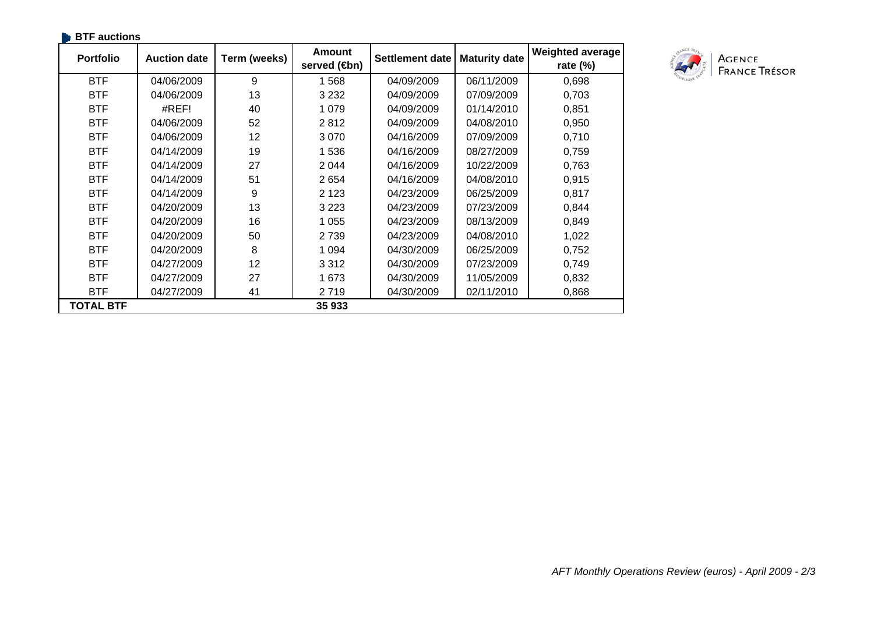| <b>BTF</b> auctions |                     |              |                               |                        |                      |                                        |
|---------------------|---------------------|--------------|-------------------------------|------------------------|----------------------|----------------------------------------|
| <b>Portfolio</b>    | <b>Auction date</b> | Term (weeks) | <b>Amount</b><br>served (son) | <b>Settlement date</b> | <b>Maturity date</b> | <b>Weighted average</b><br>rate $(\%)$ |
| <b>BTF</b>          | 04/06/2009          | 9            | 1568                          | 04/09/2009             | 06/11/2009           | 0,698                                  |
| <b>BTF</b>          | 04/06/2009          | 13           | 3 2 3 2                       | 04/09/2009             | 07/09/2009           | 0,703                                  |
| <b>BTF</b>          | #REF!               | 40           | 1 0 7 9                       | 04/09/2009             | 01/14/2010           | 0,851                                  |
| <b>BTF</b>          | 04/06/2009          | 52           | 2812                          | 04/09/2009             | 04/08/2010           | 0,950                                  |
| <b>BTF</b>          | 04/06/2009          | 12           | 3 0 7 0                       | 04/16/2009             | 07/09/2009           | 0,710                                  |
| <b>BTF</b>          | 04/14/2009          | 19           | 1536                          | 04/16/2009             | 08/27/2009           | 0,759                                  |
| <b>BTF</b>          | 04/14/2009          | 27           | 2 0 4 4                       | 04/16/2009             | 10/22/2009           | 0,763                                  |
| <b>BTF</b>          | 04/14/2009          | 51           | 2654                          | 04/16/2009             | 04/08/2010           | 0,915                                  |
| <b>BTF</b>          | 04/14/2009          | 9            | 2 1 2 3                       | 04/23/2009             | 06/25/2009           | 0,817                                  |
| <b>BTF</b>          | 04/20/2009          | 13           | 3 2 2 3                       | 04/23/2009             | 07/23/2009           | 0,844                                  |
| <b>BTF</b>          | 04/20/2009          | 16           | 1 0 5 5                       | 04/23/2009             | 08/13/2009           | 0,849                                  |
| <b>BTF</b>          | 04/20/2009          | 50           | 2 7 3 9                       | 04/23/2009             | 04/08/2010           | 1,022                                  |
| <b>BTF</b>          | 04/20/2009          | 8            | 1 0 9 4                       | 04/30/2009             | 06/25/2009           | 0,752                                  |
| <b>BTF</b>          | 04/27/2009          | 12           | 3 3 1 2                       | 04/30/2009             | 07/23/2009           | 0,749                                  |
| <b>BTF</b>          | 04/27/2009          | 27           | 1673                          | 04/30/2009             | 11/05/2009           | 0,832                                  |
| <b>BTF</b>          | 04/27/2009          | 41           | 2719                          | 04/30/2009             | 02/11/2010           | 0,868                                  |
| <b>TOTAL BTF</b>    |                     |              | 35 933                        |                        |                      |                                        |